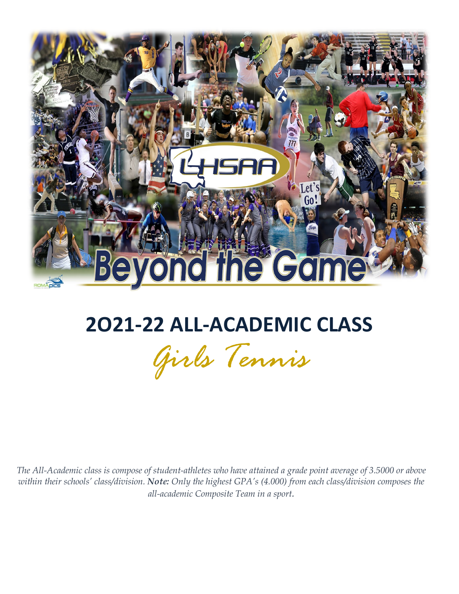

## **2O21-22 ALL-ACADEMIC CLASS**

*Girls Tennis*

*The All-Academic class is compose of student-athletes who have attained a grade point average of 3.5000 or above within their schools' class/division. Note: Only the highest GPA's (4.000) from each class/division composes the all-academic Composite Team in a sport.*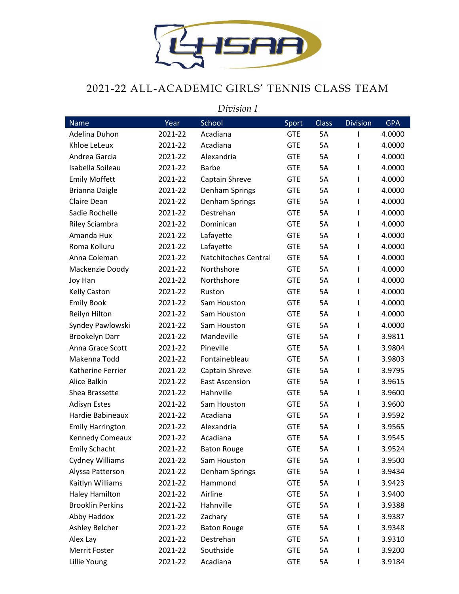

## 2021-22 ALL-ACADEMIC GIRLS' TENNIS CLASS TEAM

|                         | Division I |                       |            |              |                 |            |  |  |  |
|-------------------------|------------|-----------------------|------------|--------------|-----------------|------------|--|--|--|
| Name                    | Year       | School                | Sport      | <b>Class</b> | <b>Division</b> | <b>GPA</b> |  |  |  |
| Adelina Duhon           | 2021-22    | Acadiana              | <b>GTE</b> | <b>5A</b>    | T               | 4.0000     |  |  |  |
| Khloe LeLeux            | 2021-22    | Acadiana              | <b>GTE</b> | <b>5A</b>    |                 | 4.0000     |  |  |  |
| Andrea Garcia           | 2021-22    | Alexandria            | <b>GTE</b> | <b>5A</b>    | ı               | 4.0000     |  |  |  |
| Isabella Soileau        | 2021-22    | <b>Barbe</b>          | <b>GTE</b> | <b>5A</b>    | T               | 4.0000     |  |  |  |
| <b>Emily Moffett</b>    | 2021-22    | Captain Shreve        | <b>GTE</b> | <b>5A</b>    | T               | 4.0000     |  |  |  |
| Brianna Daigle          | 2021-22    | Denham Springs        | <b>GTE</b> | <b>5A</b>    | I.              | 4.0000     |  |  |  |
| Claire Dean             | 2021-22    | Denham Springs        | <b>GTE</b> | <b>5A</b>    | ı               | 4.0000     |  |  |  |
| Sadie Rochelle          | 2021-22    | Destrehan             | <b>GTE</b> | <b>5A</b>    | T               | 4.0000     |  |  |  |
| Riley Sciambra          | 2021-22    | Dominican             | <b>GTE</b> | <b>5A</b>    | ı               | 4.0000     |  |  |  |
| Amanda Hux              | 2021-22    | Lafayette             | <b>GTE</b> | <b>5A</b>    | L               | 4.0000     |  |  |  |
| Roma Kolluru            | 2021-22    | Lafayette             | <b>GTE</b> | <b>5A</b>    | ı               | 4.0000     |  |  |  |
| Anna Coleman            | 2021-22    | Natchitoches Central  | <b>GTE</b> | <b>5A</b>    | L               | 4.0000     |  |  |  |
| Mackenzie Doody         | 2021-22    | Northshore            | <b>GTE</b> | <b>5A</b>    | ı               | 4.0000     |  |  |  |
| Joy Han                 | 2021-22    | Northshore            | <b>GTE</b> | <b>5A</b>    | T               | 4.0000     |  |  |  |
| <b>Kelly Caston</b>     | 2021-22    | Ruston                | <b>GTE</b> | <b>5A</b>    | ı               | 4.0000     |  |  |  |
| <b>Emily Book</b>       | 2021-22    | Sam Houston           | <b>GTE</b> | <b>5A</b>    | L               | 4.0000     |  |  |  |
| Reilyn Hilton           | 2021-22    | Sam Houston           | <b>GTE</b> | <b>5A</b>    | T               | 4.0000     |  |  |  |
| Syndey Pawlowski        | 2021-22    | Sam Houston           | <b>GTE</b> | <b>5A</b>    | L               | 4.0000     |  |  |  |
| <b>Brookelyn Darr</b>   | 2021-22    | Mandeville            | <b>GTE</b> | <b>5A</b>    | ı               | 3.9811     |  |  |  |
| Anna Grace Scott        | 2021-22    | Pineville             | <b>GTE</b> | <b>5A</b>    | L               | 3.9804     |  |  |  |
| Makenna Todd            | 2021-22    | Fontainebleau         | <b>GTE</b> | <b>5A</b>    | T               | 3.9803     |  |  |  |
| Katherine Ferrier       | 2021-22    | Captain Shreve        | <b>GTE</b> | <b>5A</b>    | L               | 3.9795     |  |  |  |
| Alice Balkin            | 2021-22    | <b>East Ascension</b> | <b>GTE</b> | <b>5A</b>    | ı               | 3.9615     |  |  |  |
| Shea Brassette          | 2021-22    | Hahnville             | <b>GTE</b> | <b>5A</b>    | T               | 3.9600     |  |  |  |
| <b>Adisyn Estes</b>     | 2021-22    | Sam Houston           | <b>GTE</b> | <b>5A</b>    | T               | 3.9600     |  |  |  |
| Hardie Babineaux        | 2021-22    | Acadiana              | <b>GTE</b> | 5A           | I               | 3.9592     |  |  |  |
| <b>Emily Harrington</b> | 2021-22    | Alexandria            | <b>GTE</b> | 5A           |                 | 3.9565     |  |  |  |
| Kennedy Comeaux         | 2021-22    | Acadiana              | <b>GTE</b> | 5A           |                 | 3.9545     |  |  |  |
| <b>Emily Schacht</b>    | 2021-22    | <b>Baton Rouge</b>    | <b>GTE</b> | 5A           | L               | 3.9524     |  |  |  |
| Cydney Williams         | 2021-22    | Sam Houston           | <b>GTE</b> | 5A           |                 | 3.9500     |  |  |  |
| Alyssa Patterson        | 2021-22    | Denham Springs        | <b>GTE</b> | 5A           |                 | 3.9434     |  |  |  |
| Kaitlyn Williams        | 2021-22    | Hammond               | <b>GTE</b> | 5A           |                 | 3.9423     |  |  |  |
| <b>Haley Hamilton</b>   | 2021-22    | Airline               | <b>GTE</b> | 5A           |                 | 3.9400     |  |  |  |
| <b>Brooklin Perkins</b> | 2021-22    | Hahnville             | <b>GTE</b> | 5A           |                 | 3.9388     |  |  |  |
| Abby Haddox             | 2021-22    | Zachary               | <b>GTE</b> | 5A           |                 | 3.9387     |  |  |  |
| Ashley Belcher          | 2021-22    | <b>Baton Rouge</b>    | <b>GTE</b> | 5A           |                 | 3.9348     |  |  |  |
| Alex Lay                | 2021-22    | Destrehan             | <b>GTE</b> | 5A           |                 | 3.9310     |  |  |  |
| Merrit Foster           | 2021-22    | Southside             | <b>GTE</b> | 5A           |                 | 3.9200     |  |  |  |
| Lillie Young            | 2021-22    | Acadiana              | <b>GTE</b> | 5A           |                 | 3.9184     |  |  |  |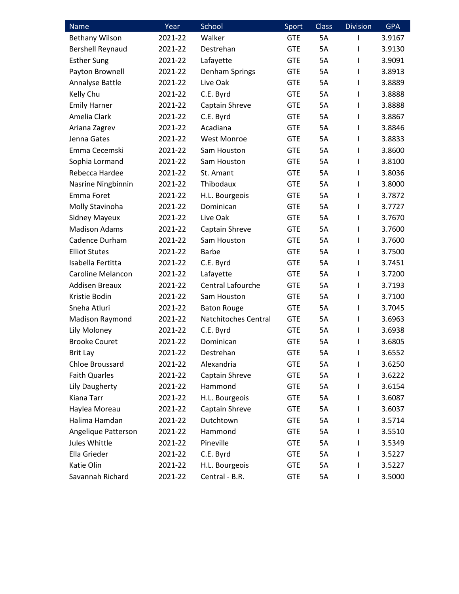| Name                     | Year    | School               | Sport      | <b>Class</b> | <b>Division</b> | <b>GPA</b> |
|--------------------------|---------|----------------------|------------|--------------|-----------------|------------|
| <b>Bethany Wilson</b>    | 2021-22 | Walker               | <b>GTE</b> | 5A           | I               | 3.9167     |
| <b>Bershell Reynaud</b>  | 2021-22 | Destrehan            | <b>GTE</b> | 5A           | ı               | 3.9130     |
| <b>Esther Sung</b>       | 2021-22 | Lafayette            | <b>GTE</b> | 5A           | T               | 3.9091     |
| Payton Brownell          | 2021-22 | Denham Springs       | <b>GTE</b> | 5A           | T               | 3.8913     |
| Annalyse Battle          | 2021-22 | Live Oak             | <b>GTE</b> | <b>5A</b>    | L               | 3.8889     |
| Kelly Chu                | 2021-22 | C.E. Byrd            | <b>GTE</b> | 5A           | T               | 3.8888     |
| <b>Emily Harner</b>      | 2021-22 | Captain Shreve       | <b>GTE</b> | 5A           | L               | 3.8888     |
| Amelia Clark             | 2021-22 | C.E. Byrd            | <b>GTE</b> | <b>5A</b>    | T               | 3.8867     |
| Ariana Zagrev            | 2021-22 | Acadiana             | <b>GTE</b> | 5A           | L               | 3.8846     |
| Jenna Gates              | 2021-22 | <b>West Monroe</b>   | <b>GTE</b> | 5A           | T               | 3.8833     |
| Emma Cecemski            | 2021-22 | Sam Houston          | <b>GTE</b> | <b>5A</b>    | T               | 3.8600     |
| Sophia Lormand           | 2021-22 | Sam Houston          | <b>GTE</b> | <b>5A</b>    | T               | 3.8100     |
| Rebecca Hardee           | 2021-22 | St. Amant            | <b>GTE</b> | 5A           | T               | 3.8036     |
| Nasrine Ningbinnin       | 2021-22 | Thibodaux            | <b>GTE</b> | <b>5A</b>    | T               | 3.8000     |
| Emma Foret               | 2021-22 | H.L. Bourgeois       | <b>GTE</b> | 5A           | T               | 3.7872     |
| Molly Stavinoha          | 2021-22 | Dominican            | <b>GTE</b> | 5A           | T               | 3.7727     |
| <b>Sidney Mayeux</b>     | 2021-22 | Live Oak             | <b>GTE</b> | 5A           | T               | 3.7670     |
| <b>Madison Adams</b>     | 2021-22 | Captain Shreve       | <b>GTE</b> | 5A           | T               | 3.7600     |
| Cadence Durham           | 2021-22 | Sam Houston          | <b>GTE</b> | 5A           | T               | 3.7600     |
| <b>Elliot Stutes</b>     | 2021-22 | <b>Barbe</b>         | <b>GTE</b> | <b>5A</b>    | T               | 3.7500     |
| Isabella Fertitta        | 2021-22 | C.E. Byrd            | <b>GTE</b> | 5A           | T               | 3.7451     |
| <b>Caroline Melancon</b> | 2021-22 | Lafayette            | <b>GTE</b> | 5A           | T               | 3.7200     |
| <b>Addisen Breaux</b>    | 2021-22 | Central Lafourche    | <b>GTE</b> | 5A           | L               | 3.7193     |
| Kristie Bodin            | 2021-22 | Sam Houston          | <b>GTE</b> | <b>5A</b>    | T               | 3.7100     |
| Sneha Atluri             | 2021-22 | <b>Baton Rouge</b>   | <b>GTE</b> | 5A           | T               | 3.7045     |
| Madison Raymond          | 2021-22 | Natchitoches Central | <b>GTE</b> | 5A           | T               | 3.6963     |
| Lily Moloney             | 2021-22 | C.E. Byrd            | <b>GTE</b> | 5A           | T               | 3.6938     |
| <b>Brooke Couret</b>     | 2021-22 | Dominican            | <b>GTE</b> | 5A           | ı               | 3.6805     |
| <b>Brit Lay</b>          | 2021-22 | Destrehan            | <b>GTE</b> | 5A           | I               | 3.6552     |
| <b>Chloe Broussard</b>   | 2021-22 | Alexandria           | <b>GTE</b> | 5A           | T               | 3.6250     |
| <b>Faith Quarles</b>     | 2021-22 | Captain Shreve       | <b>GTE</b> | 5A           | L               | 3.6222     |
| Lily Daugherty           | 2021-22 | Hammond              | <b>GTE</b> | 5A           | L               | 3.6154     |
| Kiana Tarr               | 2021-22 | H.L. Bourgeois       | <b>GTE</b> | 5A           |                 | 3.6087     |
| Haylea Moreau            | 2021-22 | Captain Shreve       | <b>GTE</b> | 5A           |                 | 3.6037     |
| Halima Hamdan            | 2021-22 | Dutchtown            | <b>GTE</b> | 5A           | ı               | 3.5714     |
| Angelique Patterson      | 2021-22 | Hammond              | <b>GTE</b> | 5A           |                 | 3.5510     |
| Jules Whittle            | 2021-22 | Pineville            | <b>GTE</b> | 5A           |                 | 3.5349     |
| Ella Grieder             | 2021-22 | C.E. Byrd            | <b>GTE</b> | 5A           |                 | 3.5227     |
| Katie Olin               | 2021-22 | H.L. Bourgeois       | <b>GTE</b> | 5A           | ı               | 3.5227     |
| Savannah Richard         | 2021-22 | Central - B.R.       | <b>GTE</b> | 5A           | I               | 3.5000     |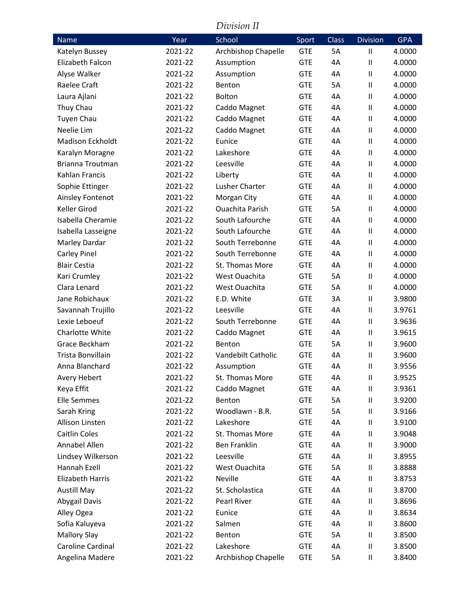|                         |         | Division II            |            |              |                 |            |
|-------------------------|---------|------------------------|------------|--------------|-----------------|------------|
| Name                    | Year    | School                 | Sport      | <b>Class</b> | <b>Division</b> | <b>GPA</b> |
| Katelyn Bussey          | 2021-22 | Archbishop Chapelle    | <b>GTE</b> | 5A           | Ш               | 4.0000     |
| Elizabeth Falcon        | 2021-22 | Assumption             | <b>GTE</b> | 4A           | Ш               | 4.0000     |
| Alyse Walker            | 2021-22 | Assumption             | <b>GTE</b> | 4A           | $\sf II$        | 4.0000     |
| Raelee Craft            | 2021-22 | Benton                 | <b>GTE</b> | 5A           | $\mathbf{I}$    | 4.0000     |
| Laura Ajlani            | 2021-22 | Bolton                 | <b>GTE</b> | 4A           | $\mathbf{I}$    | 4.0000     |
| Thuy Chau               | 2021-22 | Caddo Magnet           | <b>GTE</b> | 4A           | $\mathbf{I}$    | 4.0000     |
| <b>Tuyen Chau</b>       | 2021-22 | Caddo Magnet           | <b>GTE</b> | 4A           | $\mathbf{I}$    | 4.0000     |
| Neelie Lim              | 2021-22 | Caddo Magnet           | <b>GTE</b> | 4A           | $\mathbf{I}$    | 4.0000     |
| <b>Madison Eckholdt</b> | 2021-22 | Eunice                 | <b>GTE</b> | 4A           | $\mathbf{I}$    | 4.0000     |
| Karalyn Moragne         | 2021-22 | Lakeshore              | <b>GTE</b> | 4A           | $\mathbf{I}$    | 4.0000     |
| <b>Brianna Troutman</b> | 2021-22 | Leesville              | <b>GTE</b> | 4A           | $\mathbf{I}$    | 4.0000     |
| Kahlan Francis          | 2021-22 | Liberty                | <b>GTE</b> | 4A           | $\mathbf{I}$    | 4.0000     |
| Sophie Ettinger         | 2021-22 | Lusher Charter         | <b>GTE</b> | 4A           | $\mathbf{I}$    | 4.0000     |
| Ainsley Fontenot        | 2021-22 | Morgan City            | <b>GTE</b> | 4A           | $\mathbf{I}$    | 4.0000     |
| Keller Girod            | 2021-22 | <b>Ouachita Parish</b> | <b>GTE</b> | 5A           | $\sf II$        | 4.0000     |
| Isabella Cheramie       | 2021-22 | South Lafourche        | <b>GTE</b> | 4A           | $\mathbf{I}$    | 4.0000     |
| Isabella Lasseigne      | 2021-22 | South Lafourche        | <b>GTE</b> | 4A           | $\mathbf{I}$    | 4.0000     |
| Marley Dardar           | 2021-22 | South Terrebonne       | <b>GTE</b> | 4A           | $\mathbf{I}$    | 4.0000     |
| Carley Pinel            | 2021-22 | South Terrebonne       | <b>GTE</b> | 4A           | $\sf II$        | 4.0000     |
| <b>Blair Cestia</b>     | 2021-22 | St. Thomas More        | <b>GTE</b> | 4A           | $\mathbf{I}$    | 4.0000     |
| Kari Crumley            | 2021-22 | West Ouachita          | <b>GTE</b> | 5A           | $\mathbf{I}$    | 4.0000     |
| Clara Lenard            | 2021-22 | West Ouachita          | <b>GTE</b> | 5A           | $\mathbf{I}$    | 4.0000     |
| Jane Robichaux          | 2021-22 | E.D. White             | <b>GTE</b> | 3A           | $\mathbf{I}$    | 3.9800     |
| Savannah Trujillo       | 2021-22 | Leesville              | <b>GTE</b> | 4A           | $\mathbf{I}$    | 3.9761     |
| Lexie Leboeuf           | 2021-22 | South Terrebonne       | <b>GTE</b> | 4A           | $\mathbf{I}$    | 3.9636     |
| Charlotte White         | 2021-22 | Caddo Magnet           | <b>GTE</b> | 4A           | $\mathbf{I}$    | 3.9615     |
| Grace Beckham           | 2021-22 | Benton                 | <b>GTE</b> | 5A           | $\sf II$        | 3.9600     |
| Trista Bonvillain       | 2021-22 | Vandebilt Catholic     | <b>GTE</b> | 4A           | Ш               | 3.9600     |
| Anna Blanchard          | 2021-22 | Assumption             | <b>GTE</b> | 4Α           | Ш               | 3.9556     |
| Avery Hebert            | 2021-22 | St. Thomas More        | <b>GTE</b> | 4A           | Ш               | 3.9525     |
| Keya Effit              | 2021-22 | Caddo Magnet           | <b>GTE</b> | 4Α           | $\mathbf{I}$    | 3.9361     |
| <b>Elle Semmes</b>      | 2021-22 | Benton                 | <b>GTE</b> | 5A           | Ш               | 3.9200     |
| Sarah Kring             | 2021-22 | Woodlawn - B.R.        | <b>GTE</b> | 5A           | Ш               | 3.9166     |
| Allison Linsten         | 2021-22 | Lakeshore              | <b>GTE</b> | 4A           | Ш               | 3.9100     |
| Caitlin Coles           | 2021-22 | St. Thomas More        | <b>GTE</b> | 4Α           | $\mathbf{I}$    | 3.9048     |
| Annabel Allen           | 2021-22 | <b>Ben Franklin</b>    | <b>GTE</b> | 4A           | Ш               | 3.9000     |
| Lindsey Wilkerson       | 2021-22 | Leesville              | <b>GTE</b> | 4A           | $\mathbf{I}$    | 3.8955     |
| Hannah Ezell            | 2021-22 | West Ouachita          | <b>GTE</b> | 5A           | Ш               | 3.8888     |
| <b>Elizabeth Harris</b> | 2021-22 | Neville                | <b>GTE</b> | 4Α           | $\mathbf{I}$    | 3.8753     |
| <b>Austill May</b>      | 2021-22 | St. Scholastica        | <b>GTE</b> | 4A           | Ш               | 3.8700     |
| Abygail Davis           | 2021-22 | Pearl River            | <b>GTE</b> | 4Α           | $\mathbf{I}$    | 3.8696     |
| Alley Ogea              | 2021-22 | Eunice                 | <b>GTE</b> | 4A           | Ш               | 3.8634     |
| Sofia Kaluyeva          | 2021-22 | Salmen                 | <b>GTE</b> | 4Α           | $\mathbf{I}$    | 3.8600     |
| <b>Mallory Slay</b>     | 2021-22 | Benton                 | <b>GTE</b> | 5A           | Ш               | 3.8500     |
| Caroline Cardinal       | 2021-22 | Lakeshore              | <b>GTE</b> | 4A           | $\mathbf{I}$    | 3.8500     |
| Angelina Madere         | 2021-22 | Archbishop Chapelle    | <b>GTE</b> | 5A           | Ш               | 3.8400     |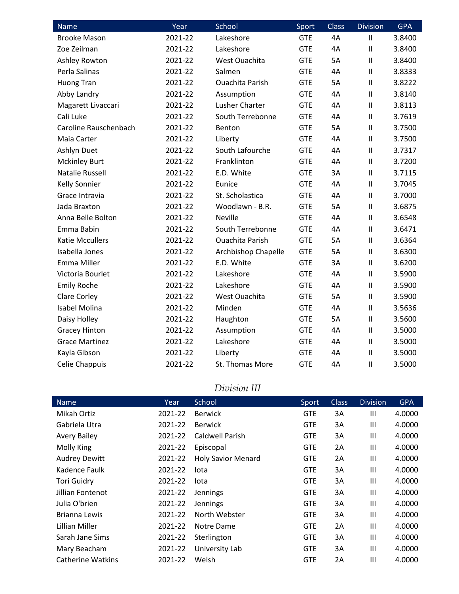| $N$ ame                | Year    | School                 | Sport      | <b>Class</b> | <b>Division</b>            | <b>GPA</b> |
|------------------------|---------|------------------------|------------|--------------|----------------------------|------------|
| <b>Brooke Mason</b>    | 2021-22 | Lakeshore              | <b>GTE</b> | 4A           | $\mathbf{H}$               | 3.8400     |
| Zoe Zeilman            | 2021-22 | Lakeshore              | <b>GTE</b> | 4A           | $\mathbf{II}$              | 3.8400     |
| Ashley Rowton          | 2021-22 | West Ouachita          | <b>GTE</b> | <b>5A</b>    | $\mathbf{II}$              | 3.8400     |
| Perla Salinas          | 2021-22 | Salmen                 | <b>GTE</b> | 4A           | $\mathbf{II}$              | 3.8333     |
| <b>Huong Tran</b>      | 2021-22 | <b>Ouachita Parish</b> | <b>GTE</b> | <b>5A</b>    | $\mathbf{H}$               | 3.8222     |
| Abby Landry            | 2021-22 | Assumption             | <b>GTE</b> | 4A           | $\mathbf{II}$              | 3.8140     |
| Magarett Livaccari     | 2021-22 | Lusher Charter         | <b>GTE</b> | 4A           | Ш                          | 3.8113     |
| Cali Luke              | 2021-22 | South Terrebonne       | <b>GTE</b> | 4A           | $\mathbf{II}$              | 3.7619     |
| Caroline Rauschenbach  | 2021-22 | Benton                 | <b>GTE</b> | <b>5A</b>    | $\mathbf{II}$              | 3.7500     |
| Maia Carter            | 2021-22 | Liberty                | <b>GTE</b> | 4A           | $\mathbf{II}$              | 3.7500     |
| Ashlyn Duet            | 2021-22 | South Lafourche        | <b>GTE</b> | 4A           | $\mathbf{II}$              | 3.7317     |
| <b>Mckinley Burt</b>   | 2021-22 | Franklinton            | <b>GTE</b> | 4A           | $\mathbf{II}$              | 3.7200     |
| <b>Natalie Russell</b> | 2021-22 | E.D. White             | <b>GTE</b> | 3A           | $\mathbf{II}$              | 3.7115     |
| <b>Kelly Sonnier</b>   | 2021-22 | Eunice                 | <b>GTE</b> | 4A           | $\mathbf{II}$              | 3.7045     |
| Grace Intravia         | 2021-22 | St. Scholastica        | <b>GTE</b> | 4A           | $\mathbf{II}$              | 3.7000     |
| Jada Braxton           | 2021-22 | Woodlawn - B.R.        | <b>GTE</b> | <b>5A</b>    | $\mathbf{II}$              | 3.6875     |
| Anna Belle Bolton      | 2021-22 | <b>Neville</b>         | <b>GTE</b> | 4A           | Ш                          | 3.6548     |
| Emma Babin             | 2021-22 | South Terrebonne       | <b>GTE</b> | 4A           | $\mathbf{II}$              | 3.6471     |
| <b>Katie Mccullers</b> | 2021-22 | <b>Ouachita Parish</b> | <b>GTE</b> | 5A           | $\mathbf{H}$               | 3.6364     |
| Isabella Jones         | 2021-22 | Archbishop Chapelle    | <b>GTE</b> | <b>5A</b>    | $\mathbf{II}$              | 3.6300     |
| <b>Emma Miller</b>     | 2021-22 | E.D. White             | <b>GTE</b> | 3A           | $\ensuremath{\mathsf{II}}$ | 3.6200     |
| Victoria Bourlet       | 2021-22 | Lakeshore              | <b>GTE</b> | 4A           | $\mathbf{II}$              | 3.5900     |
| <b>Emily Roche</b>     | 2021-22 | Lakeshore              | <b>GTE</b> | 4A           | $\mathbf{II}$              | 3.5900     |
| <b>Clare Corley</b>    | 2021-22 | West Ouachita          | <b>GTE</b> | <b>5A</b>    | $\mathbf{II}$              | 3.5900     |
| <b>Isabel Molina</b>   | 2021-22 | Minden                 | <b>GTE</b> | 4A           | $\ensuremath{\mathsf{II}}$ | 3.5636     |
| Daisy Holley           | 2021-22 | Haughton               | <b>GTE</b> | <b>5A</b>    | $\ensuremath{\mathsf{II}}$ | 3.5600     |
| <b>Gracey Hinton</b>   | 2021-22 | Assumption             | <b>GTE</b> | 4A           | $\mathbf{I}$               | 3.5000     |
| <b>Grace Martinez</b>  | 2021-22 | Lakeshore              | <b>GTE</b> | 4A           | $\mathbf{II}$              | 3.5000     |
| Kayla Gibson           | 2021-22 | Liberty                | <b>GTE</b> | 4A           | Ш                          | 3.5000     |
| Celie Chappuis         | 2021-22 | St. Thomas More        | <b>GTE</b> | 4A           | $\mathbf{II}$              | 3.5000     |

## *Division III*

| Name                     | Year    | School                    | Sport      | <b>Class</b> | <b>Division</b> | <b>GPA</b> |
|--------------------------|---------|---------------------------|------------|--------------|-----------------|------------|
| Mikah Ortiz              | 2021-22 | <b>Berwick</b>            | <b>GTE</b> | 3A           | Ш               | 4.0000     |
| Gabriela Utra            | 2021-22 | <b>Berwick</b>            | <b>GTE</b> | 3A           | Ш               | 4.0000     |
| <b>Avery Bailey</b>      | 2021-22 | Caldwell Parish           | <b>GTE</b> | 3A           | Ш               | 4.0000     |
| <b>Molly King</b>        | 2021-22 | Episcopal                 | <b>GTE</b> | 2A           | Ш               | 4.0000     |
| <b>Audrey Dewitt</b>     | 2021-22 | <b>Holy Savior Menard</b> | <b>GTE</b> | 2A           | Ш               | 4.0000     |
| Kadence Faulk            | 2021-22 | lota                      | <b>GTE</b> | 3A           | Ш               | 4.0000     |
| <b>Tori Guidry</b>       | 2021-22 | lota                      | <b>GTE</b> | 3A           | Ш               | 4.0000     |
| Jillian Fontenot         | 2021-22 | Jennings                  | <b>GTE</b> | 3A           | Ш               | 4.0000     |
| Julia O'brien            | 2021-22 | Jennings                  | <b>GTE</b> | 3A           | $\mathbf{III}$  | 4.0000     |
| Brianna Lewis            | 2021-22 | North Webster             | <b>GTE</b> | 3A           | Ш               | 4.0000     |
| Lillian Miller           | 2021-22 | Notre Dame                | <b>GTE</b> | 2A           | III             | 4.0000     |
| Sarah Jane Sims          | 2021-22 | Sterlington               | <b>GTE</b> | 3A           | Ш               | 4.0000     |
| Mary Beacham             | 2021-22 | University Lab            | <b>GTE</b> | 3A           | Ш               | 4.0000     |
| <b>Catherine Watkins</b> | 2021-22 | Welsh                     | <b>GTE</b> | 2A           | Ш               | 4.0000     |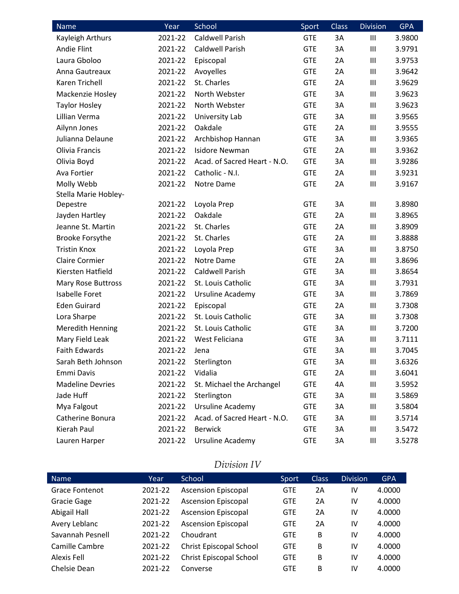| Name                    | Year    | School                       | Sport      | Class | <b>Division</b> | <b>GPA</b> |
|-------------------------|---------|------------------------------|------------|-------|-----------------|------------|
| Kayleigh Arthurs        | 2021-22 | <b>Caldwell Parish</b>       | <b>GTE</b> | 3A    | $\mathbf{III}$  | 3.9800     |
| Andie Flint             | 2021-22 | <b>Caldwell Parish</b>       | <b>GTE</b> | 3A    | $\mathbf{III}$  | 3.9791     |
| Laura Gboloo            | 2021-22 | Episcopal                    | <b>GTE</b> | 2A    | Ш               | 3.9753     |
| Anna Gautreaux          | 2021-22 | Avoyelles                    | <b>GTE</b> | 2A    | Ш               | 3.9642     |
| Karen Trichell          | 2021-22 | St. Charles                  | <b>GTE</b> | 2A    | $\mathbf{III}$  | 3.9629     |
| Mackenzie Hosley        | 2021-22 | North Webster                | <b>GTE</b> | 3A    | Ш               | 3.9623     |
| <b>Taylor Hosley</b>    | 2021-22 | North Webster                | <b>GTE</b> | 3A    | $\mathbf{III}$  | 3.9623     |
| Lillian Verma           | 2021-22 | University Lab               | <b>GTE</b> | 3A    | Ш               | 3.9565     |
| Ailynn Jones            | 2021-22 | Oakdale                      | <b>GTE</b> | 2A    | $\mathbf{III}$  | 3.9555     |
| Julianna Delaune        | 2021-22 | Archbishop Hannan            | <b>GTE</b> | 3A    | $\mathbf{III}$  | 3.9365     |
| Olivia Francis          | 2021-22 | <b>Isidore Newman</b>        | <b>GTE</b> | 2A    | Ш               | 3.9362     |
| Olivia Boyd             | 2021-22 | Acad. of Sacred Heart - N.O. | <b>GTE</b> | 3A    | Ш               | 3.9286     |
| Ava Fortier             | 2021-22 | Catholic - N.I.              | <b>GTE</b> | 2A    | $\mathbf{III}$  | 3.9231     |
| Molly Webb              | 2021-22 | Notre Dame                   | <b>GTE</b> | 2A    | $\mathbf{III}$  | 3.9167     |
| Stella Marie Hobley-    |         |                              |            |       |                 |            |
| Depestre                | 2021-22 | Loyola Prep                  | <b>GTE</b> | 3A    | $\mathbf{III}$  | 3.8980     |
| Jayden Hartley          | 2021-22 | Oakdale                      | <b>GTE</b> | 2A    | Ш               | 3.8965     |
| Jeanne St. Martin       | 2021-22 | St. Charles                  | <b>GTE</b> | 2A    | $\mathbf{III}$  | 3.8909     |
| <b>Brooke Forsythe</b>  | 2021-22 | St. Charles                  | <b>GTE</b> | 2A    | $\mathbf{III}$  | 3.8888     |
| <b>Tristin Knox</b>     | 2021-22 | Loyola Prep                  | <b>GTE</b> | 3A    | Ш               | 3.8750     |
| <b>Claire Cormier</b>   | 2021-22 | Notre Dame                   | <b>GTE</b> | 2A    | Ш               | 3.8696     |
| Kiersten Hatfield       | 2021-22 | <b>Caldwell Parish</b>       | <b>GTE</b> | 3A    | $\mathbf{III}$  | 3.8654     |
| Mary Rose Buttross      | 2021-22 | St. Louis Catholic           | <b>GTE</b> | 3A    | Ш               | 3.7931     |
| <b>Isabelle Foret</b>   | 2021-22 | Ursuline Academy             | <b>GTE</b> | 3A    | $\mathbf{III}$  | 3.7869     |
| <b>Eden Guirard</b>     | 2021-22 | Episcopal                    | <b>GTE</b> | 2A    | Ш               | 3.7308     |
| Lora Sharpe             | 2021-22 | St. Louis Catholic           | <b>GTE</b> | 3A    | $\mathbf{III}$  | 3.7308     |
| Meredith Henning        | 2021-22 | St. Louis Catholic           | <b>GTE</b> | 3A    | $\mathbf{III}$  | 3.7200     |
| Mary Field Leak         | 2021-22 | West Feliciana               | <b>GTE</b> | 3A    | $\mathbf{III}$  | 3.7111     |
| <b>Faith Edwards</b>    | 2021-22 | Jena                         | <b>GTE</b> | 3A    | Ш               | 3.7045     |
| Sarah Beth Johnson      | 2021-22 | Sterlington                  | <b>GTE</b> | 3A    | Ш               | 3.6326     |
| Emmi Davis              | 2021-22 | Vidalia                      | <b>GTE</b> | 2A    | Ш               | 3.6041     |
| <b>Madeline Devries</b> | 2021-22 | St. Michael the Archangel    | <b>GTE</b> | 4A    | Ш               | 3.5952     |
| Jade Huff               | 2021-22 | Sterlington                  | <b>GTE</b> | 3A    | Ш               | 3.5869     |
| Mya Falgout             | 2021-22 | Ursuline Academy             | <b>GTE</b> | 3A    | Ш               | 3.5804     |
| Catherine Bonura        | 2021-22 | Acad. of Sacred Heart - N.O. | <b>GTE</b> | 3A    | Ш               | 3.5714     |
| Kierah Paul             | 2021-22 | <b>Berwick</b>               | <b>GTE</b> | 3A    | Ш               | 3.5472     |
| Lauren Harper           | 2021-22 | Ursuline Academy             | <b>GTE</b> | ЗΑ    | Ш               | 3.5278     |

## *Division IV*

| <b>Name</b>        | Year    | School                         | Sport      | <b>Class</b> | <b>Division</b> | <b>GPA</b> |
|--------------------|---------|--------------------------------|------------|--------------|-----------------|------------|
| Grace Fontenot     | 2021-22 | <b>Ascension Episcopal</b>     | <b>GTE</b> | 2Α           | IV              | 4.0000     |
| <b>Gracie Gage</b> | 2021-22 | <b>Ascension Episcopal</b>     | <b>GTE</b> | 2A           | IV              | 4.0000     |
| Abigail Hall       | 2021-22 | <b>Ascension Episcopal</b>     | <b>GTE</b> | 2A           | IV              | 4.0000     |
| Avery Leblanc      | 2021-22 | <b>Ascension Episcopal</b>     | <b>GTE</b> | 2Α           | IV              | 4.0000     |
| Savannah Pesnell   | 2021-22 | Choudrant                      | <b>GTE</b> | B            | IV              | 4.0000     |
| Camille Cambre     | 2021-22 | <b>Christ Episcopal School</b> | <b>GTE</b> | B            | IV              | 4.0000     |
| Alexis Fell        | 2021-22 | <b>Christ Episcopal School</b> | <b>GTE</b> | B            | IV              | 4.0000     |
| Chelsie Dean       | 2021-22 | Converse                       | <b>GTE</b> | B            | IV              | 4.0000     |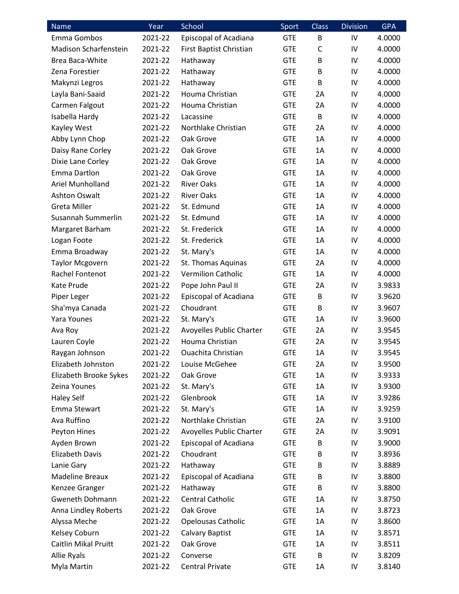| <b>Name</b>                  | Year    | School                    | Sport      | Class        | <b>Division</b> | <b>GPA</b> |
|------------------------------|---------|---------------------------|------------|--------------|-----------------|------------|
| Emma Gombos                  | 2021-22 | Episcopal of Acadiana     | <b>GTE</b> | B            | IV              | 4.0000     |
| <b>Madison Scharfenstein</b> | 2021-22 | First Baptist Christian   | <b>GTE</b> | $\mathsf{C}$ | IV              | 4.0000     |
| <b>Brea Baca-White</b>       | 2021-22 | Hathaway                  | <b>GTE</b> | B            | IV              | 4.0000     |
| Zena Forestier               | 2021-22 | Hathaway                  | <b>GTE</b> | B            | IV              | 4.0000     |
| Makynzi Legros               | 2021-22 | Hathaway                  | <b>GTE</b> | B            | IV              | 4.0000     |
| Layla Bani-Saaid             | 2021-22 | Houma Christian           | <b>GTE</b> | 2A           | IV              | 4.0000     |
| Carmen Falgout               | 2021-22 | Houma Christian           | <b>GTE</b> | 2A           | IV              | 4.0000     |
| Isabella Hardy               | 2021-22 | Lacassine                 | <b>GTE</b> | B            | IV              | 4.0000     |
| Kayley West                  | 2021-22 | Northlake Christian       | <b>GTE</b> | 2A           | IV              | 4.0000     |
| Abby Lynn Chop               | 2021-22 | Oak Grove                 | <b>GTE</b> | 1A           | IV              | 4.0000     |
| Daisy Rane Corley            | 2021-22 | Oak Grove                 | <b>GTE</b> | 1A           | IV              | 4.0000     |
| Dixie Lane Corley            | 2021-22 | Oak Grove                 | <b>GTE</b> | 1A           | IV              | 4.0000     |
| Emma Dartlon                 | 2021-22 | Oak Grove                 | <b>GTE</b> | 1A           | IV              | 4.0000     |
| Ariel Munholland             | 2021-22 | <b>River Oaks</b>         | <b>GTE</b> | 1A           | IV              | 4.0000     |
| <b>Ashton Oswalt</b>         | 2021-22 | <b>River Oaks</b>         | <b>GTE</b> | 1A           | IV              | 4.0000     |
| <b>Greta Miller</b>          | 2021-22 | St. Edmund                | <b>GTE</b> | 1A           | IV              | 4.0000     |
| Susannah Summerlin           | 2021-22 | St. Edmund                | <b>GTE</b> | 1A           | IV              | 4.0000     |
| Margaret Barham              | 2021-22 | St. Frederick             | <b>GTE</b> | 1A           | IV              | 4.0000     |
| Logan Foote                  | 2021-22 | St. Frederick             | <b>GTE</b> | 1A           | IV              | 4.0000     |
| Emma Broadway                | 2021-22 | St. Mary's                | <b>GTE</b> | 1A           | IV              | 4.0000     |
| <b>Taylor Mcgovern</b>       | 2021-22 | St. Thomas Aquinas        | <b>GTE</b> | 2A           | IV              | 4.0000     |
| Rachel Fontenot              | 2021-22 | <b>Vermilion Catholic</b> | <b>GTE</b> | 1A           | IV              | 4.0000     |
| Kate Prude                   | 2021-22 | Pope John Paul II         | <b>GTE</b> | 2A           | IV              | 3.9833     |
| Piper Leger                  | 2021-22 | Episcopal of Acadiana     | <b>GTE</b> | B            | IV              | 3.9620     |
| Sha'mya Canada               | 2021-22 | Choudrant                 | <b>GTE</b> | B            | IV              | 3.9607     |
| Yara Younes                  | 2021-22 | St. Mary's                | <b>GTE</b> | 1A           | IV              | 3.9600     |
| Ava Roy                      | 2021-22 | Avoyelles Public Charter  | <b>GTE</b> | 2A           | IV              | 3.9545     |
| Lauren Coyle                 | 2021-22 | Houma Christian           | <b>GTE</b> | 2A           | IV              | 3.9545     |
| Raygan Johnson               | 2021-22 | Ouachita Christian        | <b>GTE</b> | 1A           | IV              | 3.9545     |
| Elizabeth Johnston           | 2021-22 | Louise McGehee            | <b>GTE</b> | 2A           | IV              | 3.9500     |
| Elizabeth Brooke Sykes       | 2021-22 | Oak Grove                 | <b>GTE</b> | 1A           | IV              | 3.9333     |
| Zeina Younes                 | 2021-22 | St. Mary's                | <b>GTE</b> | 1A           | IV              | 3.9300     |
| <b>Haley Self</b>            | 2021-22 | Glenbrook                 | <b>GTE</b> | 1A           | IV              | 3.9286     |
| Emma Stewart                 | 2021-22 | St. Mary's                | <b>GTE</b> | 1A           | IV              | 3.9259     |
| Ava Ruffino                  | 2021-22 | Northlake Christian       | <b>GTE</b> | 2A           | IV              | 3.9100     |
| Peyton Hines                 | 2021-22 | Avoyelles Public Charter  | <b>GTE</b> | 2A           | IV              | 3.9091     |
| Ayden Brown                  | 2021-22 | Episcopal of Acadiana     | <b>GTE</b> | В            | IV              | 3.9000     |
| Elizabeth Davis              | 2021-22 | Choudrant                 | <b>GTE</b> | B            | IV              | 3.8936     |
| Lanie Gary                   | 2021-22 | Hathaway                  | <b>GTE</b> | B            | IV              | 3.8889     |
| Madeline Breaux              | 2021-22 | Episcopal of Acadiana     | <b>GTE</b> | B            | IV              | 3.8800     |
| Kenzee Granger               | 2021-22 | Hathaway                  | <b>GTE</b> | B            | IV              | 3.8800     |
| <b>Gweneth Dohmann</b>       | 2021-22 | Central Catholic          | <b>GTE</b> | 1A           | IV              | 3.8750     |
| Anna Lindley Roberts         | 2021-22 | Oak Grove                 | <b>GTE</b> | 1A           | IV              | 3.8723     |
| Alyssa Meche                 | 2021-22 | <b>Opelousas Catholic</b> | <b>GTE</b> | 1A           | IV              | 3.8600     |
| Kelsey Coburn                | 2021-22 | Calvary Baptist           | <b>GTE</b> | 1A           | IV              | 3.8571     |
| <b>Caitlin Mikal Pruitt</b>  | 2021-22 | Oak Grove                 | <b>GTE</b> | 1A           | IV              | 3.8511     |
| Allie Ryals                  | 2021-22 | Converse                  | <b>GTE</b> | B            | IV              | 3.8209     |
| Myla Martin                  | 2021-22 | <b>Central Private</b>    | <b>GTE</b> | 1A           | IV              | 3.8140     |